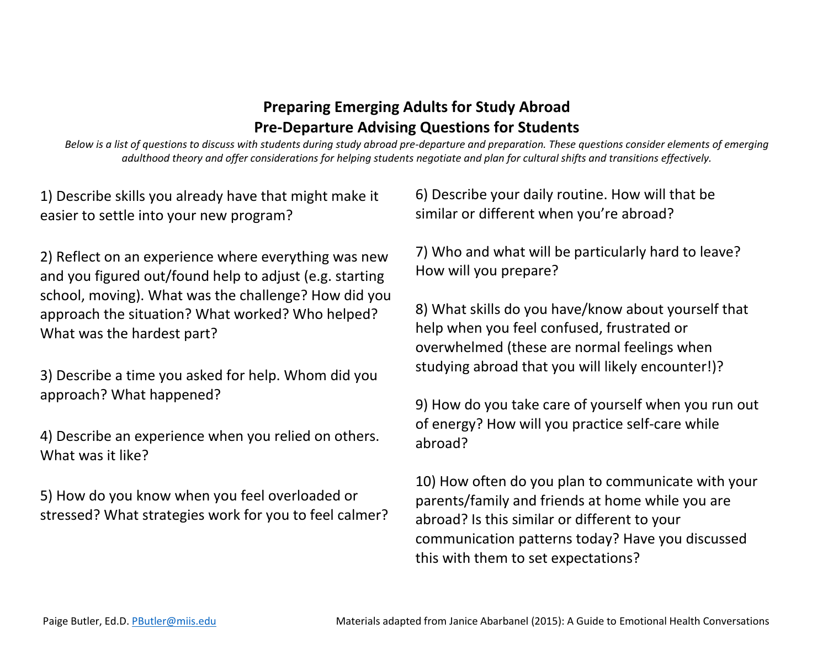## **Preparing Emerging Adults for Study Abroad Pre-Departure Advising Questions for Students**

*Below is a list of questions to discuss with students during study abroad pre-departure and preparation. These questions consider elements of emerging adulthood theory and offer considerations for helping students negotiate and plan for cultural shifts and transitions effectively.*

1) Describe skills you already have that might make it easier to settle into your new program?

2) Reflect on an experience where everything was new and you figured out/found help to adjust (e.g. starting school, moving). What was the challenge? How did you approach the situation? What worked? Who helped? What was the hardest part?

3) Describe a time you asked for help. Whom did you approach? What happened?

4) Describe an experience when you relied on others. What was it like?

5) How do you know when you feel overloaded or stressed? What strategies work for you to feel calmer? 6) Describe your daily routine. How will that be similar or different when you're abroad?

7) Who and what will be particularly hard to leave? How will you prepare?

8) What skills do you have/know about yourself that help when you feel confused, frustrated or overwhelmed (these are normal feelings when studying abroad that you will likely encounter!)?

9) How do you take care of yourself when you run out of energy? How will you practice self-care while abroad?

10) How often do you plan to communicate with your parents/family and friends at home while you are abroad? Is this similar or different to your communication patterns today? Have you discussed this with them to set expectations?